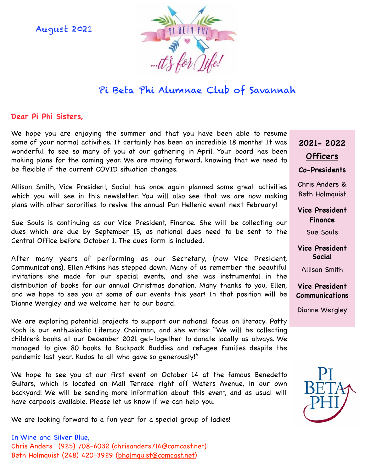August 2021



# Pi Beta Phi Alumnae Club of Savannah

### **Dear Pi Phi Sisters,**

We hope you are enjoying the summer and that you have been able to resume some of your normal activities. It certainly has been an incredible 18 months! It was wonderful to see so many of you at our gathering in April. Your board has been making plans for the coming year. We are moving forward, knowing that we need to be flexible if the current COVID situation changes.

Allison Smith, Vice President, Social has once again planned some great activities which you will see in this newsletter. You will also see that we are now making plans with other sororities to revive the annual Pan Hellenic event next February!

Sue Souls is continuing as our Vice President, Finance. She will be collecting our dues which are due by September 15, as national dues need to be sent to the Central Office before October 1. The dues form is included.

After many years of performing as our Secretary, (now Vice President, Communications), Ellen Atkins has stepped down. Many of us remember the beautiful invitations she made for our special events, and she was instrumental in the distribution of books for our annual Christmas donation. Many thanks to you, Ellen, and we hope to see you at some of our events this year! In that position will be Dianne Wergley and we welcome her to our board.

We are exploring potential projects to support our national focus on literacy. Patty Koch is our enthusiastic Literacy Chairman, and she writes: "We will be collecting children's books at our December 2021 get-together to donate locally as always. We managed to give 80 books to Backpack Buddies and refugee families despite the pandemic last year. Kudos to all who gave so generously!"

We hope to see you at our first event on October 14 at the famous Benedetto Guitars, which is located on Mall Terrace right off Waters Avenue, in our own backyard! We will be sending more information about this event, and as usual will have carpools available. Please let us know if we can help you.

We are looking forward to a fun year for a special group of ladies!

## **2021- 2022 Officers Co-Presidents**

Chris Anders & Beth Holmquist

**Vice President Finance** 

Sue Souls

**Vice President Social** 

Allison Smith

### **Vice President Communications**

Dianne Wergley

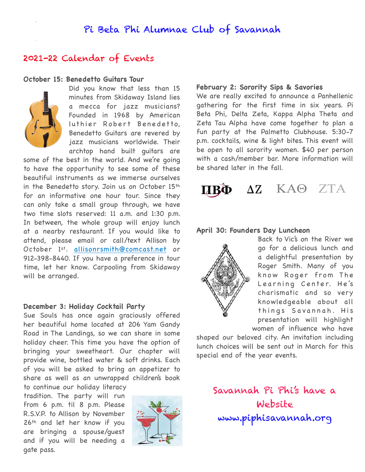## Pi Beta Phi Alumnae Club of Savannah

### 2021-22 Calendar of Events

### **October 15: Benedetto Guitars Tour**



Did you know that less than 15 minutes from Skidaway Island lies a mecca for jazz musicians? Founded in 1968 by American luthier Robert Benedetto, Benedetto Guitars are revered by jazz musicians worldwide. Their archtop hand built guitars are

some of the best in the world. And we're going to have the opportunity to see some of these beautiful instruments as we immerse ourselves in the Benedetto story. Join us on October 15th for an informative one hour tour. Since they can only take a small group through, we have two time slots reserved: 11 a.m. and 1:30 p.m. In between, the whole group will enjoy lunch at a nearby restaurant. If you would like to attend, please email or call/text Allison by October 1st. [allisonrsmith@comcast.net](mailto:allisonrsmith@comcast.net) or 912-398-8440. If you have a preference in tour time, let her know. Carpooling from Skidaway will be arranged.

#### **December 3: Holiday Cocktail Party**

Sue Souls has once again graciously offered her beautiful home located at 206 Yam Gandy Road in The Landings, so we can share in some holiday cheer. This time you have the option of bringing your sweetheart. Our chapter will provide wine, bottled water & soft drinks. Each of you will be asked to bring an appetizer to share as well as an unwrapped children's book to continue our holiday literacy

tradition. The party will run from 6 p.m. til 8 p.m. Please R.S.V.P. to Allison by November 26th and let her know if you are bringing a spouse/guest and if you will be needing a gate pass.



#### **February 2: Sorority Sips & Savories**

We are really excited to announce a Panhellenic gathering for the first time in six years. Pi Beta Phi, Delta Zeta, Kappa Alpha Theta and Zeta Tau Alpha have come together to plan a fun party at the Palmetto Clubhouse. 5:30-7 p.m. cocktails, wine & light bites. This event will be open to all sorority women. \$40 per person with a cash/member bar. More information will be shared later in the fall.



### **April 30: Founders Day Luncheon**



Back to Vic's on the River we go for a delicious lunch and a delightful presentation by Roger Smith. Many of you know Roger from The Learning Center. He's charismatic and so very knowledgeable about all things Savannah. His presentation will highlight women of influence who have

shaped our beloved city. An invitation including lunch choices will be sent out in March for this special end of the year events.

> Savannah Pi Phi's have a Website www.piphisavannah.org